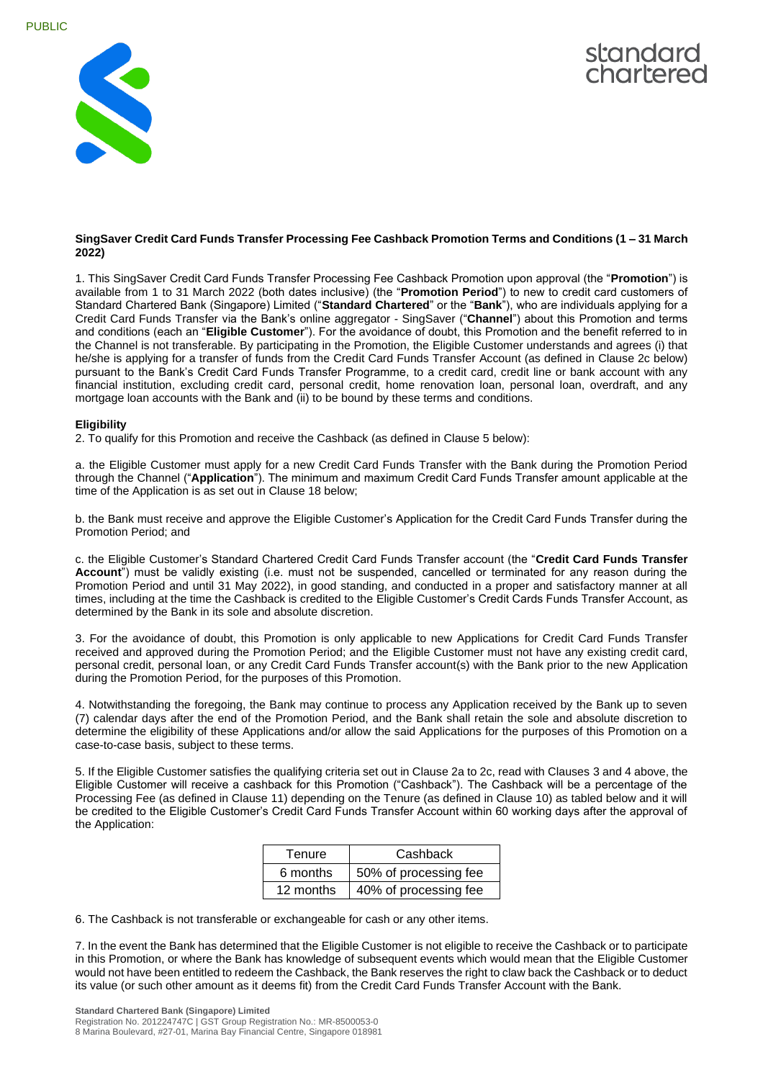



## **SingSaver Credit Card Funds Transfer Processing Fee Cashback Promotion Terms and Conditions (1 – 31 March 2022)**

1. This SingSaver Credit Card Funds Transfer Processing Fee Cashback Promotion upon approval (the "**Promotion**") is available from 1 to 31 March 2022 (both dates inclusive) (the "**Promotion Period**") to new to credit card customers of Standard Chartered Bank (Singapore) Limited ("**Standard Chartered**" or the "**Bank**"), who are individuals applying for a Credit Card Funds Transfer via the Bank's online aggregator - SingSaver ("**Channel**") about this Promotion and terms and conditions (each an "**Eligible Customer**"). For the avoidance of doubt, this Promotion and the benefit referred to in the Channel is not transferable. By participating in the Promotion, the Eligible Customer understands and agrees (i) that he/she is applying for a transfer of funds from the Credit Card Funds Transfer Account (as defined in Clause 2c below) pursuant to the Bank's Credit Card Funds Transfer Programme, to a credit card, credit line or bank account with any financial institution, excluding credit card, personal credit, home renovation loan, personal loan, overdraft, and any mortgage loan accounts with the Bank and (ii) to be bound by these terms and conditions.

## **Eligibility**

2. To qualify for this Promotion and receive the Cashback (as defined in Clause 5 below):

a. the Eligible Customer must apply for a new Credit Card Funds Transfer with the Bank during the Promotion Period through the Channel ("**Application**"). The minimum and maximum Credit Card Funds Transfer amount applicable at the time of the Application is as set out in Clause 18 below;

b. the Bank must receive and approve the Eligible Customer's Application for the Credit Card Funds Transfer during the Promotion Period; and

c. the Eligible Customer's Standard Chartered Credit Card Funds Transfer account (the "**Credit Card Funds Transfer Account**") must be validly existing (i.e. must not be suspended, cancelled or terminated for any reason during the Promotion Period and until 31 May 2022), in good standing, and conducted in a proper and satisfactory manner at all times, including at the time the Cashback is credited to the Eligible Customer's Credit Cards Funds Transfer Account, as determined by the Bank in its sole and absolute discretion.

3. For the avoidance of doubt, this Promotion is only applicable to new Applications for Credit Card Funds Transfer received and approved during the Promotion Period; and the Eligible Customer must not have any existing credit card, personal credit, personal loan, or any Credit Card Funds Transfer account(s) with the Bank prior to the new Application during the Promotion Period, for the purposes of this Promotion.

4. Notwithstanding the foregoing, the Bank may continue to process any Application received by the Bank up to seven (7) calendar days after the end of the Promotion Period, and the Bank shall retain the sole and absolute discretion to determine the eligibility of these Applications and/or allow the said Applications for the purposes of this Promotion on a case-to-case basis, subject to these terms.

5. If the Eligible Customer satisfies the qualifying criteria set out in Clause 2a to 2c, read with Clauses 3 and 4 above, the Eligible Customer will receive a cashback for this Promotion ("Cashback"). The Cashback will be a percentage of the Processing Fee (as defined in Clause 11) depending on the Tenure (as defined in Clause 10) as tabled below and it will be credited to the Eligible Customer's Credit Card Funds Transfer Account within 60 working days after the approval of the Application:

| Tenure    | Cashback              |
|-----------|-----------------------|
| 6 months  | 50% of processing fee |
| 12 months | 40% of processing fee |

6. The Cashback is not transferable or exchangeable for cash or any other items.

7. In the event the Bank has determined that the Eligible Customer is not eligible to receive the Cashback or to participate in this Promotion, or where the Bank has knowledge of subsequent events which would mean that the Eligible Customer would not have been entitled to redeem the Cashback, the Bank reserves the right to claw back the Cashback or to deduct its value (or such other amount as it deems fit) from the Credit Card Funds Transfer Account with the Bank.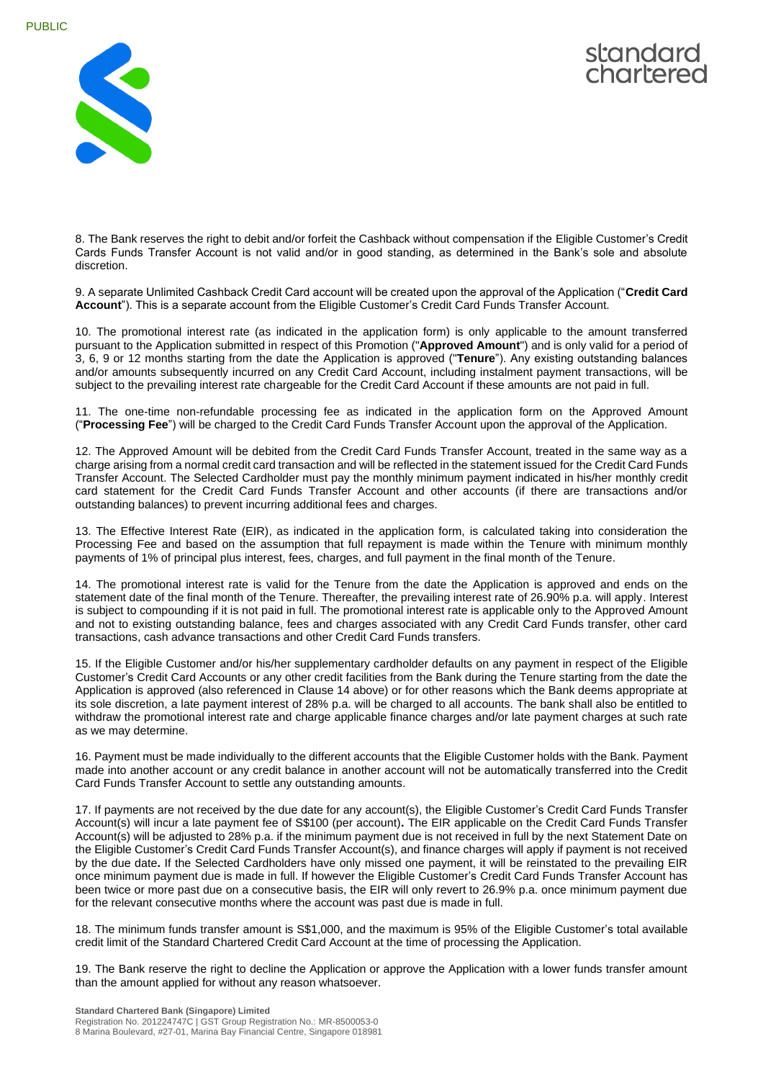



8. The Bank reserves the right to debit and/or forfeit the Cashback without compensation if the Eligible Customer's Credit Cards Funds Transfer Account is not valid and/or in good standing, as determined in the Bank's sole and absolute discretion.

9. A separate Unlimited Cashback Credit Card account will be created upon the approval of the Application ("**Credit Card Account**"). This is a separate account from the Eligible Customer's Credit Card Funds Transfer Account.

10. The promotional interest rate (as indicated in the application form) is only applicable to the amount transferred pursuant to the Application submitted in respect of this Promotion ("**Approved Amount**") and is only valid for a period of 3, 6, 9 or 12 months starting from the date the Application is approved ("**Tenure**"). Any existing outstanding balances and/or amounts subsequently incurred on any Credit Card Account, including instalment payment transactions, will be subject to the prevailing interest rate chargeable for the Credit Card Account if these amounts are not paid in full.

11. The one-time non-refundable processing fee as indicated in the application form on the Approved Amount ("**Processing Fee**") will be charged to the Credit Card Funds Transfer Account upon the approval of the Application.

12. The Approved Amount will be debited from the Credit Card Funds Transfer Account, treated in the same way as a charge arising from a normal credit card transaction and will be reflected in the statement issued for the Credit Card Funds Transfer Account. The Selected Cardholder must pay the monthly minimum payment indicated in his/her monthly credit card statement for the Credit Card Funds Transfer Account and other accounts (if there are transactions and/or outstanding balances) to prevent incurring additional fees and charges.

13. The Effective Interest Rate (EIR), as indicated in the application form, is calculated taking into consideration the Processing Fee and based on the assumption that full repayment is made within the Tenure with minimum monthly payments of 1% of principal plus interest, fees, charges, and full payment in the final month of the Tenure.

14. The promotional interest rate is valid for the Tenure from the date the Application is approved and ends on the statement date of the final month of the Tenure. Thereafter, the prevailing interest rate of 26.90% p.a. will apply. Interest is subject to compounding if it is not paid in full. The promotional interest rate is applicable only to the Approved Amount and not to existing outstanding balance, fees and charges associated with any Credit Card Funds transfer, other card transactions, cash advance transactions and other Credit Card Funds transfers.

15. If the Eligible Customer and/or his/her supplementary cardholder defaults on any payment in respect of the Eligible Customer's Credit Card Accounts or any other credit facilities from the Bank during the Tenure starting from the date the Application is approved (also referenced in Clause 14 above) or for other reasons which the Bank deems appropriate at its sole discretion, a late payment interest of 28% p.a. will be charged to all accounts. The bank shall also be entitled to withdraw the promotional interest rate and charge applicable finance charges and/or late payment charges at such rate as we may determine.

16. Payment must be made individually to the different accounts that the Eligible Customer holds with the Bank. Payment made into another account or any credit balance in another account will not be automatically transferred into the Credit Card Funds Transfer Account to settle any outstanding amounts.

17. If payments are not received by the due date for any account(s), the Eligible Customer's Credit Card Funds Transfer Account(s) will incur a late payment fee of S\$100 (per account)**.** The EIR applicable on the Credit Card Funds Transfer Account(s) will be adjusted to 28% p.a. if the minimum payment due is not received in full by the next Statement Date on the Eligible Customer's Credit Card Funds Transfer Account(s), and finance charges will apply if payment is not received by the due date**.** If the Selected Cardholders have only missed one payment, it will be reinstated to the prevailing EIR once minimum payment due is made in full. If however the Eligible Customer's Credit Card Funds Transfer Account has been twice or more past due on a consecutive basis, the EIR will only revert to 26.9% p.a. once minimum payment due for the relevant consecutive months where the account was past due is made in full.

18. The minimum funds transfer amount is S\$1,000, and the maximum is 95% of the Eligible Customer's total available credit limit of the Standard Chartered Credit Card Account at the time of processing the Application.

19. The Bank reserve the right to decline the Application or approve the Application with a lower funds transfer amount than the amount applied for without any reason whatsoever.